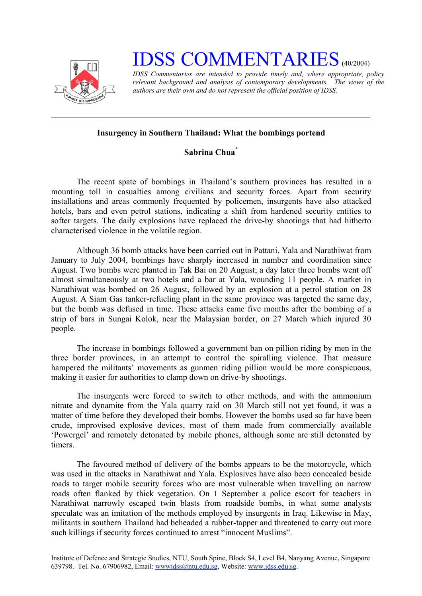

## **IDSS COMMENTARIES** (40/2004)

*IDSS Commentaries are intended to provide timely and, where appropriate, policy relevant background and analysis of contemporary developments. The views of the authors are their own and do not represent the official position of IDSS.* 

## **Insurgency in Southern Thailand: What the bombings portend**

 $\mathcal{L}_\text{max} = \frac{1}{2} \sum_{i=1}^n \mathcal{L}_\text{max}(\mathbf{z}_i - \mathbf{z}_i)$ 

## **Sabrina Chua[\\*](#page-1-0)**

The recent spate of bombings in Thailand's southern provinces has resulted in a mounting toll in casualties among civilians and security forces. Apart from security installations and areas commonly frequented by policemen, insurgents have also attacked hotels, bars and even petrol stations, indicating a shift from hardened security entities to softer targets. The daily explosions have replaced the drive-by shootings that had hitherto characterised violence in the volatile region.

Although 36 bomb attacks have been carried out in Pattani, Yala and Narathiwat from January to July 2004, bombings have sharply increased in number and coordination since August. Two bombs were planted in Tak Bai on 20 August; a day later three bombs went off almost simultaneously at two hotels and a bar at Yala, wounding 11 people. A market in Narathiwat was bombed on 26 August, followed by an explosion at a petrol station on 28 August. A Siam Gas tanker-refueling plant in the same province was targeted the same day, but the bomb was defused in time. These attacks came five months after the bombing of a strip of bars in Sungai Kolok, near the Malaysian border, on 27 March which injured 30 people.

The increase in bombings followed a government ban on pillion riding by men in the three border provinces, in an attempt to control the spiralling violence. That measure hampered the militants' movements as gunmen riding pillion would be more conspicuous, making it easier for authorities to clamp down on drive-by shootings.

The insurgents were forced to switch to other methods, and with the ammonium nitrate and dynamite from the Yala quarry raid on 30 March still not yet found, it was a matter of time before they developed their bombs. However the bombs used so far have been crude, improvised explosive devices, most of them made from commercially available 'Powergel' and remotely detonated by mobile phones, although some are still detonated by timers.

The favoured method of delivery of the bombs appears to be the motorcycle, which was used in the attacks in Narathiwat and Yala. Explosives have also been concealed beside roads to target mobile security forces who are most vulnerable when travelling on narrow roads often flanked by thick vegetation. On 1 September a police escort for teachers in Narathiwat narrowly escaped twin blasts from roadside bombs, in what some analysts speculate was an imitation of the methods employed by insurgents in Iraq. Likewise in May, militants in southern Thailand had beheaded a rubber-tapper and threatened to carry out more such killings if security forces continued to arrest "innocent Muslims".